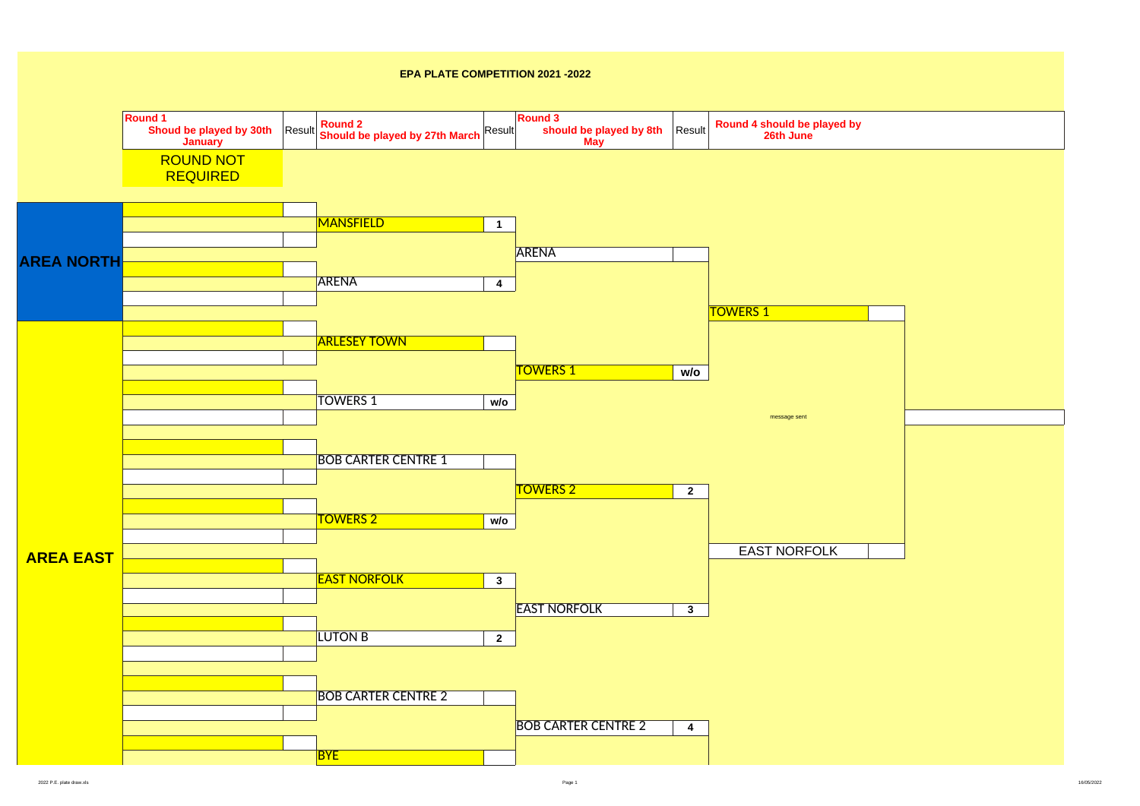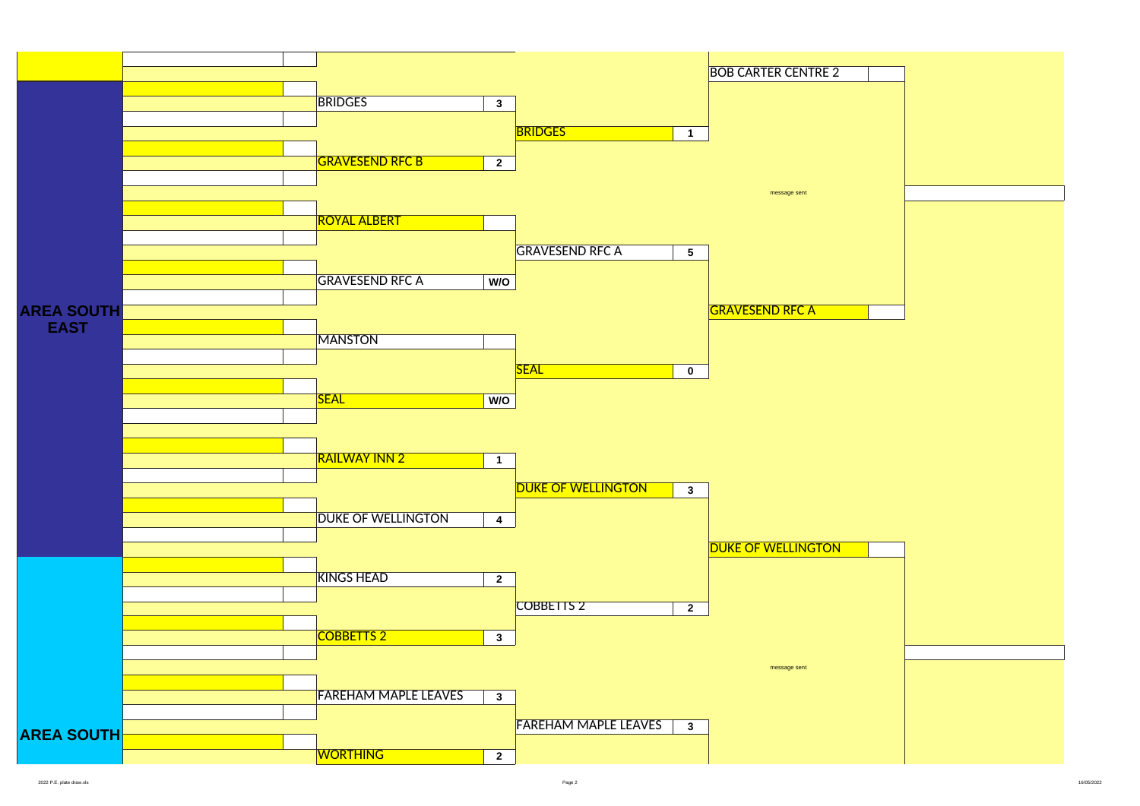